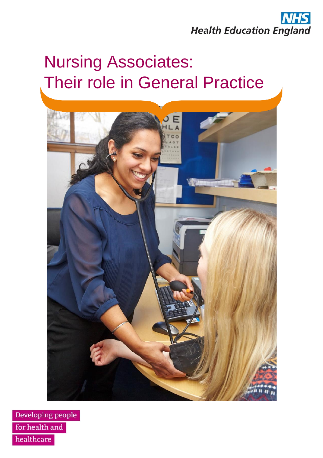

# Nursing Associates: Their role in General Practice



Developing people for health and healthcare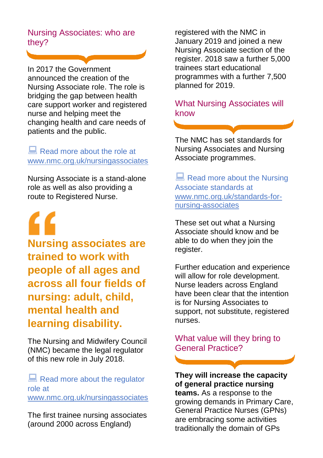## Nursing Associates: who are they?

In 2017 the Government announced the creation of the Nursing Associate role. The role is bridging the gap between health care support worker and registered nurse and helping meet the changing health and care needs of patients and the public.

## Read more about the role at [www.nmc.org.uk/nursingassociates](http://www.nmc.org.uk/nursingassociates)

Nursing Associate is a stand-alone role as well as also providing a route to Registered Nurse.

**Nursing associates are trained to work with people of all ages and across all four fields of nursing: adult, child, mental health and learning disability.**

The Nursing and Midwifery Council (NMC) became the legal regulator of this new role in July 2018.

Read more about the regulator role at

[www.nmc.org.uk/nursingassociates](http://www.nmc.org.uk/nursingassociates)

The first trainee nursing associates (around 2000 across England)

registered with the NMC in January 2019 and joined a new Nursing Associate section of the register. 2018 saw a further 5,000 trainees start educational programmes with a further 7,500 planned for 2019.

### What Nursing Associates will know

The NMC has set standards for Nursing Associates and Nursing Associate programmes.

Read more about the Nursing Associate standards at [www.nmc.org.uk/standards-for](http://www.nmc.org.uk/standards-for-nursing-associates)[nursing-associates](http://www.nmc.org.uk/standards-for-nursing-associates)

These set out what a Nursing Associate should know and be able to do when they join the register.

Further education and experience will allow for role development. Nurse leaders across England have been clear that the intention is for Nursing Associates to support, not substitute, registered nurses.

What value will they bring to General Practice?

#### **They will increase the capacity of general practice nursing**

**teams.** As a response to the growing demands in Primary Care, General Practice Nurses (GPNs) are embracing some activities traditionally the domain of GPs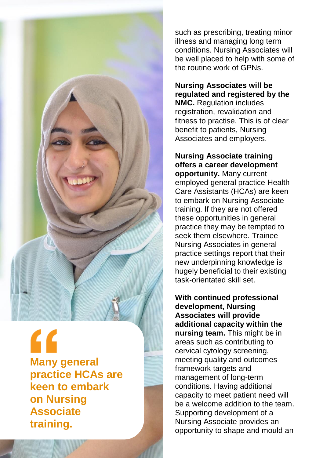

" **Many general practice HCAs are keen to embark on Nursing Associate training.**

such as prescribing, treating minor illness and managing long term conditions. Nursing Associates will be well placed to help with some of the routine work of GPNs.

**Nursing Associates will be regulated and registered by the NMC.** Regulation includes registration, revalidation and fitness to practise. This is of clear benefit to patients, Nursing Associates and employers.

**Nursing Associate training offers a career development opportunity.** Many current employed general practice Health Care Assistants (HCAs) are keen to embark on Nursing Associate training. If they are not offered these opportunities in general practice they may be tempted to seek them elsewhere. Trainee Nursing Associates in general practice settings report that their new underpinning knowledge is hugely beneficial to their existing task-orientated skill set.

**With continued professional development, Nursing Associates will provide additional capacity within the nursing team.** This might be in areas such as contributing to cervical cytology screening, meeting quality and outcomes framework targets and management of long-term conditions. Having additional capacity to meet patient need will be a welcome addition to the team. Supporting development of a Nursing Associate provides an opportunity to shape and mould an